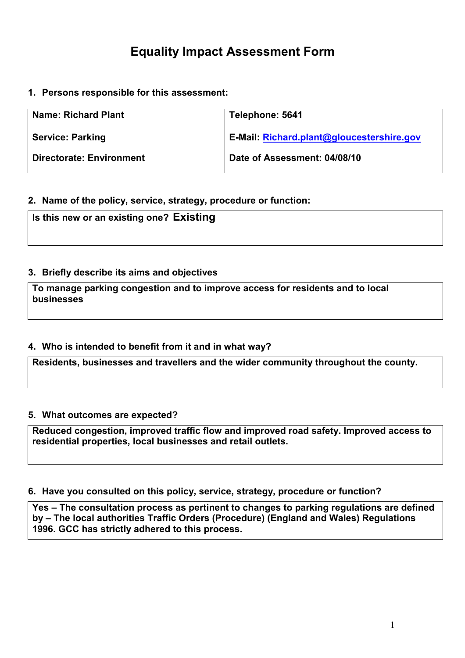# Equality Impact Assessment Form

1. Persons responsible for this assessment:

| <b>Name: Richard Plant</b>      | Telephone: 5641                           |
|---------------------------------|-------------------------------------------|
| <b>Service: Parking</b>         | E-Mail: Richard.plant@gloucestershire.gov |
| <b>Directorate: Environment</b> | Date of Assessment: 04/08/10              |

#### 2. Name of the policy, service, strategy, procedure or function:

Is this new or an existing one? Existing

## 3. Briefly describe its aims and objectives

To manage parking congestion and to improve access for residents and to local businesses

## 4. Who is intended to benefit from it and in what way?

Residents, businesses and travellers and the wider community throughout the county.

#### 5. What outcomes are expected?

Reduced congestion, improved traffic flow and improved road safety. Improved access to residential properties, local businesses and retail outlets.

#### 6. Have you consulted on this policy, service, strategy, procedure or function?

Yes – The consultation process as pertinent to changes to parking regulations are defined by – The local authorities Traffic Orders (Procedure) (England and Wales) Regulations 1996. GCC has strictly adhered to this process.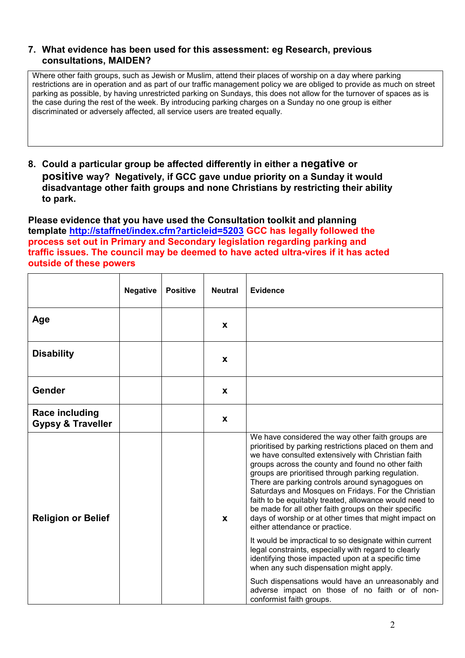#### 7. What evidence has been used for this assessment: eg Research, previous consultations, MAIDEN?

Where other faith groups, such as Jewish or Muslim, attend their places of worship on a day where parking restrictions are in operation and as part of our traffic management policy we are obliged to provide as much on street parking as possible, by having unrestricted parking on Sundays, this does not allow for the turnover of spaces as is the case during the rest of the week. By introducing parking charges on a Sunday no one group is either discriminated or adversely affected, all service users are treated equally.

8. Could a particular group be affected differently in either a negative or positive way? Negatively, if GCC gave undue priority on a Sunday it would disadvantage other faith groups and none Christians by restricting their ability to park.

Please evidence that you have used the Consultation toolkit and planning template http://staffnet/index.cfm?articleid=5203 GCC has legally followed the process set out in Primary and Secondary legislation regarding parking and traffic issues. The council may be deemed to have acted ultra-vires if it has acted outside of these powers

|                                                       | <b>Negative</b> | <b>Positive</b> | <b>Neutral</b> | <b>Evidence</b>                                                                                                                                                                                                                                                                                                                                                                                                                                                                                                                                                                                                                                                                                                                                                              |
|-------------------------------------------------------|-----------------|-----------------|----------------|------------------------------------------------------------------------------------------------------------------------------------------------------------------------------------------------------------------------------------------------------------------------------------------------------------------------------------------------------------------------------------------------------------------------------------------------------------------------------------------------------------------------------------------------------------------------------------------------------------------------------------------------------------------------------------------------------------------------------------------------------------------------------|
| Age                                                   |                 |                 | X              |                                                                                                                                                                                                                                                                                                                                                                                                                                                                                                                                                                                                                                                                                                                                                                              |
| <b>Disability</b>                                     |                 |                 | X              |                                                                                                                                                                                                                                                                                                                                                                                                                                                                                                                                                                                                                                                                                                                                                                              |
| Gender                                                |                 |                 | X              |                                                                                                                                                                                                                                                                                                                                                                                                                                                                                                                                                                                                                                                                                                                                                                              |
| <b>Race including</b><br><b>Gypsy &amp; Traveller</b> |                 |                 | X              |                                                                                                                                                                                                                                                                                                                                                                                                                                                                                                                                                                                                                                                                                                                                                                              |
| <b>Religion or Belief</b>                             |                 |                 | X              | We have considered the way other faith groups are<br>prioritised by parking restrictions placed on them and<br>we have consulted extensively with Christian faith<br>groups across the county and found no other faith<br>groups are prioritised through parking regulation.<br>There are parking controls around synagogues on<br>Saturdays and Mosques on Fridays. For the Christian<br>faith to be equitably treated, allowance would need to<br>be made for all other faith groups on their specific<br>days of worship or at other times that might impact on<br>either attendance or practice.<br>It would be impractical to so designate within current<br>legal constraints, especially with regard to clearly<br>identifying those impacted upon at a specific time |
|                                                       |                 |                 |                | when any such dispensation might apply.<br>Such dispensations would have an unreasonably and<br>adverse impact on those of no faith or of non-<br>conformist faith groups.                                                                                                                                                                                                                                                                                                                                                                                                                                                                                                                                                                                                   |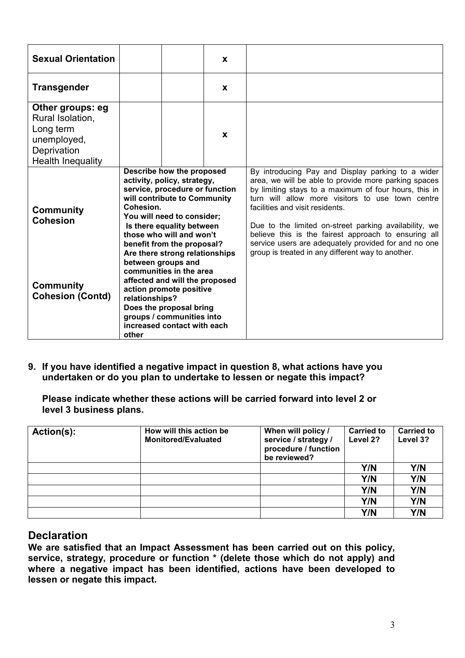| <b>Sexual Orientation</b>                                                                                   |                                                                                                                                                                                                                                                                                                                                                                                                                                                                                                                                | X            |                                                                                                                                                                                                                                                                                                                                                                                                                                                                                         |  |
|-------------------------------------------------------------------------------------------------------------|--------------------------------------------------------------------------------------------------------------------------------------------------------------------------------------------------------------------------------------------------------------------------------------------------------------------------------------------------------------------------------------------------------------------------------------------------------------------------------------------------------------------------------|--------------|-----------------------------------------------------------------------------------------------------------------------------------------------------------------------------------------------------------------------------------------------------------------------------------------------------------------------------------------------------------------------------------------------------------------------------------------------------------------------------------------|--|
| <b>Transgender</b>                                                                                          |                                                                                                                                                                                                                                                                                                                                                                                                                                                                                                                                | X            |                                                                                                                                                                                                                                                                                                                                                                                                                                                                                         |  |
| Other groups: eg<br>Rural Isolation,<br>Long term<br>unemployed,<br>Deprivation<br><b>Health Inequality</b> |                                                                                                                                                                                                                                                                                                                                                                                                                                                                                                                                | $\mathbf{x}$ |                                                                                                                                                                                                                                                                                                                                                                                                                                                                                         |  |
| <b>Community</b><br><b>Cohesion</b><br><b>Community</b><br><b>Cohesion (Contd)</b>                          | Describe how the proposed<br>activity, policy, strategy,<br>service, procedure or function<br>will contribute to Community<br>Cohesion.<br>You will need to consider;<br>Is there equality between<br>those who will and won't<br>benefit from the proposal?<br>Are there strong relationships<br>between groups and<br>communities in the area<br>affected and will the proposed<br>action promote positive<br>relationships?<br>Does the proposal bring<br>groups / communities into<br>increased contact with each<br>other |              | By introducing Pay and Display parking to a wider<br>area, we will be able to provide more parking spaces<br>by limiting stays to a maximum of four hours, this in<br>turn will allow more visitors to use town centre<br>facilities and visit residents.<br>Due to the limited on-street parking availability, we<br>believe this is the fairest approach to ensuring all<br>service users are adequately provided for and no one<br>group is treated in any different way to another. |  |

9. If you have identified a negative impact in question 8, what actions have you undertaken or do you plan to undertake to lessen or negate this impact?

Please indicate whether these actions will be carried forward into level 2 or level 3 business plans.

| Action(s): | How will this action be<br><b>Monitored/Evaluated</b> | When will policy /<br>service / strategy /<br>procedure / function<br>be reviewed? | <b>Carried to</b><br>Level 2? | <b>Carried to</b><br>Level 3? |
|------------|-------------------------------------------------------|------------------------------------------------------------------------------------|-------------------------------|-------------------------------|
|            |                                                       |                                                                                    | Y/N                           | Y/N                           |
|            |                                                       |                                                                                    | Y/N                           | Y/N                           |
|            |                                                       |                                                                                    | Y/N                           | Y/N                           |
|            |                                                       |                                                                                    | Y/N                           | Y/N                           |
|            |                                                       |                                                                                    | Y/N                           | Y/N                           |

## **Declaration**

We are satisfied that an Impact Assessment has been carried out on this policy, service, strategy, procedure or function \* (delete those which do not apply) and where a negative impact has been identified, actions have been developed to lessen or negate this impact.